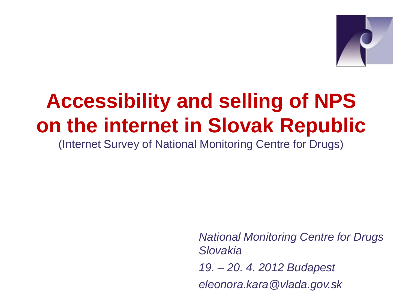

# **Accessibility and selling of NPS on the internet in Slovak Republic**

(Internet Survey of National Monitoring Centre for Drugs)

*National Monitoring Centre for Drugs Slovakia 19. – 20. 4. 2012 Budapest eleonora.kara@vlada.gov.sk*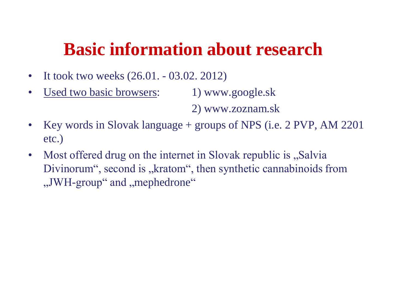### **Basic information about research**

- It took two weeks  $(26.01. 03.02. 2012)$
- Used two basic browsers: 1) www.google.sk

2) www.zoznam.sk

- Key words in Slovak language + groups of NPS (i.e. 2 PVP, AM 2201) etc.)
- Most offered drug on the internet in Slovak republic is "Salvia Divinorum", second is "kratom", then synthetic cannabinoids from ", JWH-group" and , mephedrone.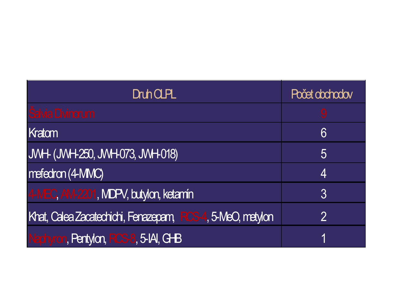| <b>Druh CLPL</b>                                           | Počet obchodov |
|------------------------------------------------------------|----------------|
| Šalvia Divinorum                                           | 9              |
| Kratom                                                     | 6              |
| <b>JWH- (JWH-250, JWH-073, JWH-018)</b>                    | 5              |
| mefedron (4-MMC)                                           | 4              |
| 4-MEC, AM-2201, MDPV, butylon, ketamín                     | 3              |
| Khat, Calea Zacatechichi, Fenazepam, RCS-4, 5-MeO, metylon | $\mathcal{P}$  |
| Naphyron, Pentylon, RCS-8, 5-IAI, G-B                      | 1              |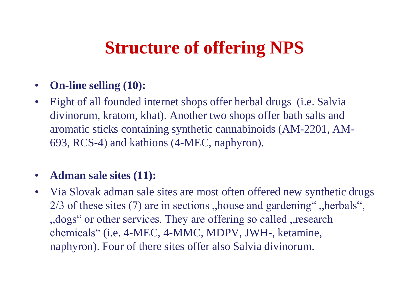## **Structure of offering NPS**

- **On-line selling (10):**
- Eight of all founded internet shops offer herbal drugs (i.e. Salvia divinorum, kratom, khat). Another two shops offer bath salts and aromatic sticks containing synthetic cannabinoids (AM-2201, AM-693, RCS-4) and kathions (4-MEC, naphyron).

### • **Adman sale sites (11):**

• Via Slovak adman sale sites are most often offered new synthetic drugs  $2/3$  of these sites (7) are in sections , house and gardening", herbals", ", dogs" or other services. They are offering so called , research chemicals" (i.e. 4-MEC, 4-MMC, MDPV, JWH-, ketamine, naphyron). Four of there sites offer also Salvia divinorum.